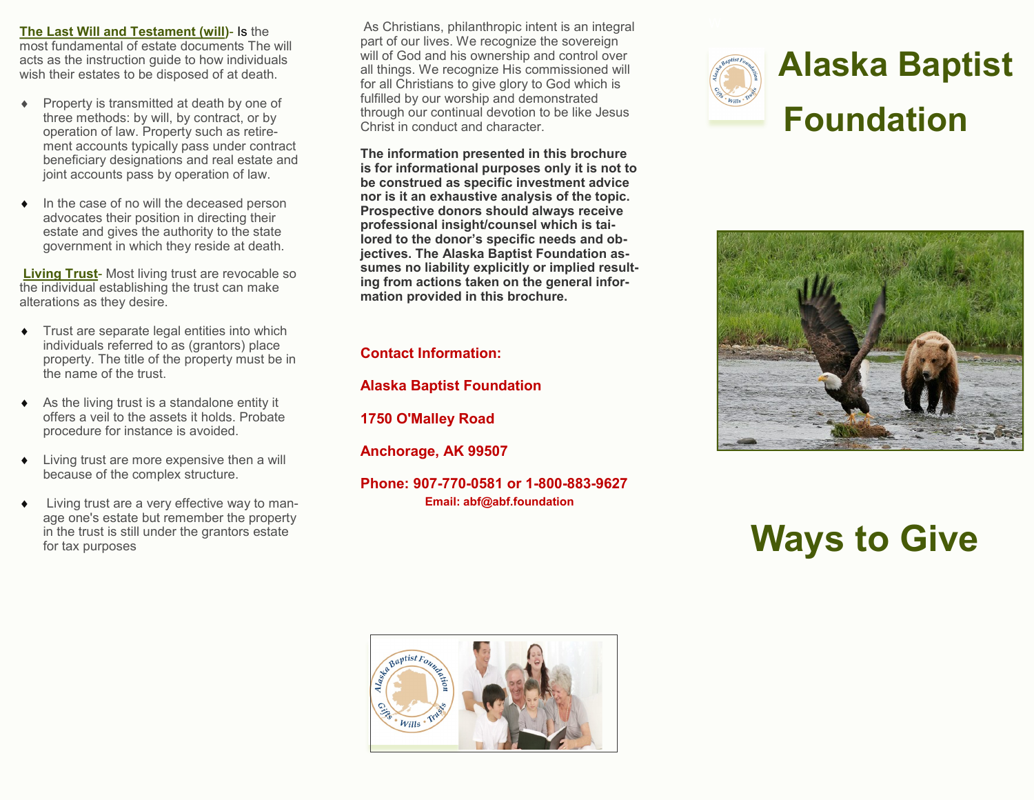**The Last Will and Testament (will)**- Is the most fundamental of estate documents The will acts as the instruction guide to how individuals wish their estates to be disposed of at death.

- Property is transmitted at death by one of three methods: by will, by contract, or by operation of law. Property such as retirement accounts typically pass under contract beneficiary designations and real estate and joint accounts pass by operation of law.
- In the case of no will the deceased person advocates their position in directing their estate and gives the authority to the state government in which they reside at death.

**Living Trust**- Most living trust are revocable so the individual establishing the trust can make alterations as they desire.

- Trust are separate legal entities into which individuals referred to as (grantors) place property. The title of the property must be in the name of the trust.
- $\triangleleft$  As the living trust is a standalone entity it offers a veil to the assets it holds. Probate procedure for instance is avoided.
- Living trust are more expensive then a will because of the complex structure.
- Living trust are a very effective way to manage one's estate but remember the property in the trust is still under the grantors estate for tax purposes

As Christians, philanthropic intent is an integral part of our lives. We recognize the sovereign will of God and his ownership and control over all things. We recognize His commissioned will for all Christians to give glory to God which is fulfilled by our worship and demonstrated through our continual devotion to be like Jesus Christ in conduct and character.

**The information presented in this brochure is for informational purposes only it is not to be construed as specific investment advice nor is it an exhaustive analysis of the topic. Prospective donors should always receive professional insight/counsel which is tailored to the donor's specific needs and objectives. The Alaska Baptist Foundation assumes no liability explicitly or implied resulting from actions taken on the general information provided in this brochure.**

# **Contact Information:**

**Alaska Baptist Foundation**

**1750 O'Malley Road**

**Anchorage, AK 99507**

**Phone: 907-770-0581 or 1-800-883-9627 Email: abf@abf.foundation**





# **Ways to Give**